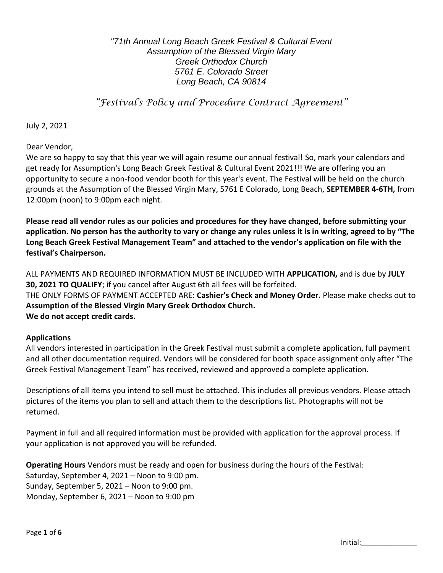*"71th Annual Long Beach Greek Festival & Cultural Event Assumption of the Blessed Virgin Mary Greek Orthodox Church 5761 E. Colorado Street Long Beach, CA 90814*

*"Festival's Policy and Procedure Contract Agreement"*

July 2, 2021

Dear Vendor,

We are so happy to say that this year we will again resume our annual festival! So, mark your calendars and get ready for Assumption's Long Beach Greek Festival & Cultural Event 2021!!! We are offering you an opportunity to secure a non-food vendor booth for this year's event. The Festival will be held on the church grounds at the Assumption of the Blessed Virgin Mary, 5761 E Colorado, Long Beach, **SEPTEMBER 4-6TH,** from 12:00pm (noon) to 9:00pm each night.

**Please read all vendor rules as our policies and procedures for they have changed, before submitting your application. No person has the authority to vary or change any rules unless it is in writing, agreed to by "The Long Beach Greek Festival Management Team" and attached to the vendor's application on file with the festival's Chairperson.** 

ALL PAYMENTS AND REQUIRED INFORMATION MUST BE INCLUDED WITH **APPLICATION,** and is due by **JULY 30, 2021 TO QUALIFY**; if you cancel after August 6th all fees will be forfeited. THE ONLY FORMS OF PAYMENT ACCEPTED ARE: **Cashier's Check and Money Order.** Please make checks out to **Assumption of the Blessed Virgin Mary Greek Orthodox Church. We do not accept credit cards.**

#### **Applications**

All vendors interested in participation in the Greek Festival must submit a complete application, full payment and all other documentation required. Vendors will be considered for booth space assignment only after "The Greek Festival Management Team" has received, reviewed and approved a complete application.

Descriptions of all items you intend to sell must be attached. This includes all previous vendors. Please attach pictures of the items you plan to sell and attach them to the descriptions list. Photographs will not be returned.

Payment in full and all required information must be provided with application for the approval process. If your application is not approved you will be refunded.

**Operating Hours** Vendors must be ready and open for business during the hours of the Festival: Saturday, September 4, 2021 – Noon to 9:00 pm. Sunday, September 5, 2021 – Noon to 9:00 pm. Monday, September 6, 2021 – Noon to 9:00 pm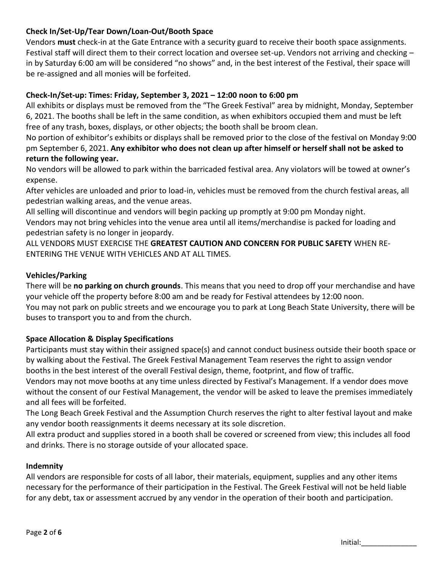# **Check In/Set-Up/Tear Down/Loan-Out/Booth Space**

Vendors **must** check-in at the Gate Entrance with a security guard to receive their booth space assignments. Festival staff will direct them to their correct location and oversee set-up. Vendors not arriving and checking – in by Saturday 6:00 am will be considered "no shows" and, in the best interest of the Festival, their space will be re-assigned and all monies will be forfeited.

# **Check-In/Set-up: Times: Friday, September 3, 2021 – 12:00 noon to 6:00 pm**

All exhibits or displays must be removed from the "The Greek Festival" area by midnight, Monday, September 6, 2021. The booths shall be left in the same condition, as when exhibitors occupied them and must be left free of any trash, boxes, displays, or other objects; the booth shall be broom clean.

No portion of exhibitor's exhibits or displays shall be removed prior to the close of the festival on Monday 9:00 pm September 6, 2021. **Any exhibitor who does not clean up after himself or herself shall not be asked to return the following year.** 

No vendors will be allowed to park within the barricaded festival area. Any violators will be towed at owner's expense.

After vehicles are unloaded and prior to load-in, vehicles must be removed from the church festival areas, all pedestrian walking areas, and the venue areas.

All selling will discontinue and vendors will begin packing up promptly at 9:00 pm Monday night.

Vendors may not bring vehicles into the venue area until all items/merchandise is packed for loading and pedestrian safety is no longer in jeopardy.

ALL VENDORS MUST EXERCISE THE **GREATEST CAUTION AND CONCERN FOR PUBLIC SAFETY** WHEN RE-ENTERING THE VENUE WITH VEHICLES AND AT ALL TIMES.

#### **Vehicles/Parking**

There will be **no parking on church grounds**. This means that you need to drop off your merchandise and have your vehicle off the property before 8:00 am and be ready for Festival attendees by 12:00 noon. You may not park on public streets and we encourage you to park at Long Beach State University, there will be buses to transport you to and from the church.

#### **Space Allocation & Display Specifications**

Participants must stay within their assigned space(s) and cannot conduct business outside their booth space or by walking about the Festival. The Greek Festival Management Team reserves the right to assign vendor booths in the best interest of the overall Festival design, theme, footprint, and flow of traffic.

Vendors may not move booths at any time unless directed by Festival's Management. If a vendor does move without the consent of our Festival Management, the vendor will be asked to leave the premises immediately and all fees will be forfeited.

The Long Beach Greek Festival and the Assumption Church reserves the right to alter festival layout and make any vendor booth reassignments it deems necessary at its sole discretion.

All extra product and supplies stored in a booth shall be covered or screened from view; this includes all food and drinks. There is no storage outside of your allocated space.

#### **Indemnity**

All vendors are responsible for costs of all labor, their materials, equipment, supplies and any other items necessary for the performance of their participation in the Festival. The Greek Festival will not be held liable for any debt, tax or assessment accrued by any vendor in the operation of their booth and participation.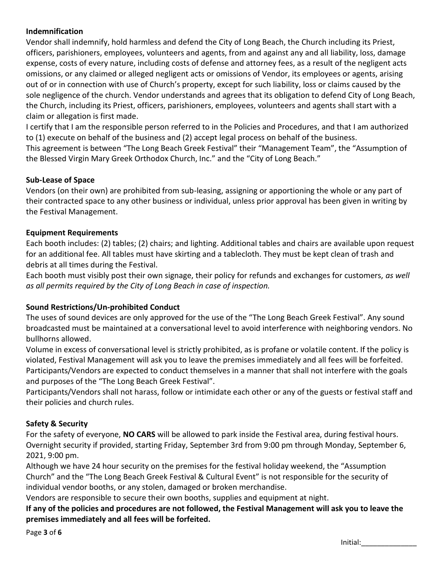# **Indemnification**

Vendor shall indemnify, hold harmless and defend the City of Long Beach, the Church including its Priest, officers, parishioners, employees, volunteers and agents, from and against any and all liability, loss, damage expense, costs of every nature, including costs of defense and attorney fees, as a result of the negligent acts omissions, or any claimed or alleged negligent acts or omissions of Vendor, its employees or agents, arising out of or in connection with use of Church's property, except for such liability, loss or claims caused by the sole negligence of the church. Vendor understands and agrees that its obligation to defend City of Long Beach, the Church, including its Priest, officers, parishioners, employees, volunteers and agents shall start with a claim or allegation is first made.

I certify that I am the responsible person referred to in the Policies and Procedures, and that I am authorized to (1) execute on behalf of the business and (2) accept legal process on behalf of the business.

This agreement is between "The Long Beach Greek Festival" their "Management Team", the "Assumption of the Blessed Virgin Mary Greek Orthodox Church, Inc." and the "City of Long Beach."

### **Sub-Lease of Space**

Vendors (on their own) are prohibited from sub-leasing, assigning or apportioning the whole or any part of their contracted space to any other business or individual, unless prior approval has been given in writing by the Festival Management.

#### **Equipment Requirements**

Each booth includes: (2) tables; (2) chairs; and lighting. Additional tables and chairs are available upon request for an additional fee. All tables must have skirting and a tablecloth. They must be kept clean of trash and debris at all times during the Festival.

Each booth must visibly post their own signage, their policy for refunds and exchanges for customers, *as well as all permits required by the City of Long Beach in case of inspection.* 

# **Sound Restrictions/Un-prohibited Conduct**

The uses of sound devices are only approved for the use of the "The Long Beach Greek Festival". Any sound broadcasted must be maintained at a conversational level to avoid interference with neighboring vendors. No bullhorns allowed.

Volume in excess of conversational level is strictly prohibited, as is profane or volatile content. If the policy is violated, Festival Management will ask you to leave the premises immediately and all fees will be forfeited. Participants/Vendors are expected to conduct themselves in a manner that shall not interfere with the goals and purposes of the "The Long Beach Greek Festival".

Participants/Vendors shall not harass, follow or intimidate each other or any of the guests or festival staff and their policies and church rules.

# **Safety & Security**

For the safety of everyone, **NO CARS** will be allowed to park inside the Festival area, during festival hours. Overnight security if provided, starting Friday, September 3rd from 9:00 pm through Monday, September 6, 2021, 9:00 pm.

Although we have 24 hour security on the premises for the festival holiday weekend, the "Assumption Church" and the "The Long Beach Greek Festival & Cultural Event" is not responsible for the security of individual vendor booths, or any stolen, damaged or broken merchandise.

Vendors are responsible to secure their own booths, supplies and equipment at night.

**If any of the policies and procedures are not followed, the Festival Management will ask you to leave the premises immediately and all fees will be forfeited.** 

Page **3** of **6**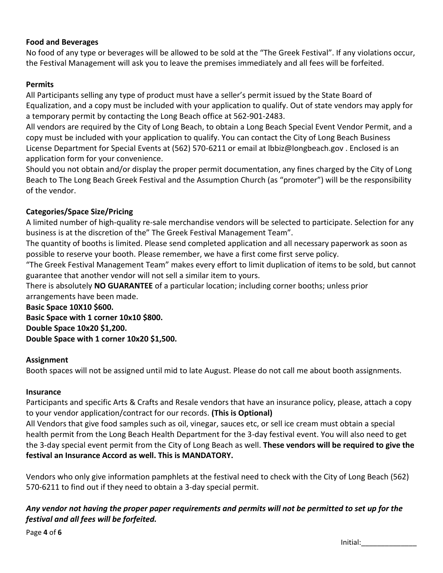# **Food and Beverages**

No food of any type or beverages will be allowed to be sold at the "The Greek Festival". If any violations occur, the Festival Management will ask you to leave the premises immediately and all fees will be forfeited.

### **Permits**

All Participants selling any type of product must have a seller's permit issued by the State Board of Equalization, and a copy must be included with your application to qualify. Out of state vendors may apply for a temporary permit by contacting the Long Beach office at 562-901-2483.

All vendors are required by the City of Long Beach, to obtain a Long Beach Special Event Vendor Permit, and a copy must be included with your application to qualify. You can contact the City of Long Beach Business License Department for Special Events at (562) 570-6211 or email at lbbiz@longbeach.gov . Enclosed is an application form for your convenience.

Should you not obtain and/or display the proper permit documentation, any fines charged by the City of Long Beach to The Long Beach Greek Festival and the Assumption Church (as "promoter") will be the responsibility of the vendor.

### **Categories/Space Size/Pricing**

A limited number of high-quality re-sale merchandise vendors will be selected to participate. Selection for any business is at the discretion of the" The Greek Festival Management Team".

The quantity of booths is limited. Please send completed application and all necessary paperwork as soon as possible to reserve your booth. Please remember, we have a first come first serve policy.

"The Greek Festival Management Team" makes every effort to limit duplication of items to be sold, but cannot guarantee that another vendor will not sell a similar item to yours.

There is absolutely **NO GUARANTEE** of a particular location; including corner booths; unless prior

arrangements have been made.

**Basic Space 10X10 \$600. Basic Space with 1 corner 10x10 \$800. Double Space 10x20 \$1,200. Double Space with 1 corner 10x20 \$1,500.** 

#### **Assignment**

Booth spaces will not be assigned until mid to late August. Please do not call me about booth assignments.

#### **Insurance**

Participants and specific Arts & Crafts and Resale vendors that have an insurance policy, please, attach a copy to your vendor application/contract for our records. **(This is Optional)** 

All Vendors that give food samples such as oil, vinegar, sauces etc, or sell ice cream must obtain a special health permit from the Long Beach Health Department for the 3-day festival event. You will also need to get the 3-day special event permit from the City of Long Beach as well. **These vendors will be required to give the festival an Insurance Accord as well. This is MANDATORY.** 

Vendors who only give information pamphlets at the festival need to check with the City of Long Beach (562) 570-6211 to find out if they need to obtain a 3-day special permit.

# *Any vendor not having the proper paper requirements and permits will not be permitted to set up for the festival and all fees will be forfeited.*

Page **4** of **6**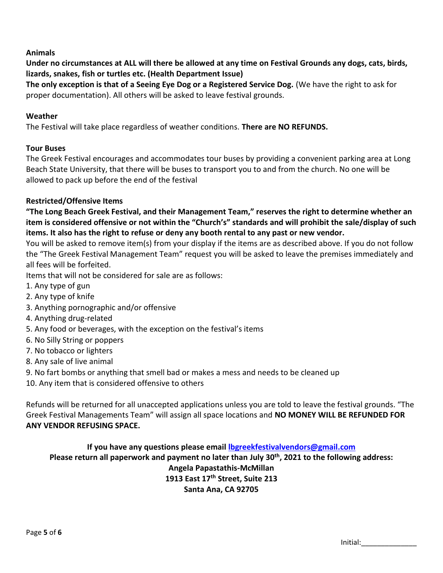# **Animals**

**Under no circumstances at ALL will there be allowed at any time on Festival Grounds any dogs, cats, birds, lizards, snakes, fish or turtles etc. (Health Department Issue)** 

**The only exception is that of a Seeing Eye Dog or a Registered Service Dog.** (We have the right to ask for proper documentation). All others will be asked to leave festival grounds.

#### **Weather**

The Festival will take place regardless of weather conditions. **There are NO REFUNDS.** 

#### **Tour Buses**

The Greek Festival encourages and accommodates tour buses by providing a convenient parking area at Long Beach State University, that there will be buses to transport you to and from the church. No one will be allowed to pack up before the end of the festival

### **Restricted/Offensive Items**

**"The Long Beach Greek Festival, and their Management Team," reserves the right to determine whether an item is considered offensive or not within the "Church's" standards and will prohibit the sale/display of such items. It also has the right to refuse or deny any booth rental to any past or new vendor.** 

You will be asked to remove item(s) from your display if the items are as described above. If you do not follow the "The Greek Festival Management Team" request you will be asked to leave the premises immediately and all fees will be forfeited.

Items that will not be considered for sale are as follows:

- 1. Any type of gun
- 2. Any type of knife
- 3. Anything pornographic and/or offensive
- 4. Anything drug-related
- 5. Any food or beverages, with the exception on the festival's items
- 6. No Silly String or poppers
- 7. No tobacco or lighters
- 8. Any sale of live animal
- 9. No fart bombs or anything that smell bad or makes a mess and needs to be cleaned up
- 10. Any item that is considered offensive to others

Refunds will be returned for all unaccepted applications unless you are told to leave the festival grounds. "The Greek Festival Managements Team" will assign all space locations and **NO MONEY WILL BE REFUNDED FOR ANY VENDOR REFUSING SPACE.** 

# **If you have any questions please email [lbgreekfestivalvendors@gmail.com](mailto:lbgreekfestivalvendors@gmail.com) Please return all paperwork and payment no later than July 30th , 2021 to the following address: Angela Papastathis-McMillan 1913 East 17th Street, Suite 213 Santa Ana, CA 92705**